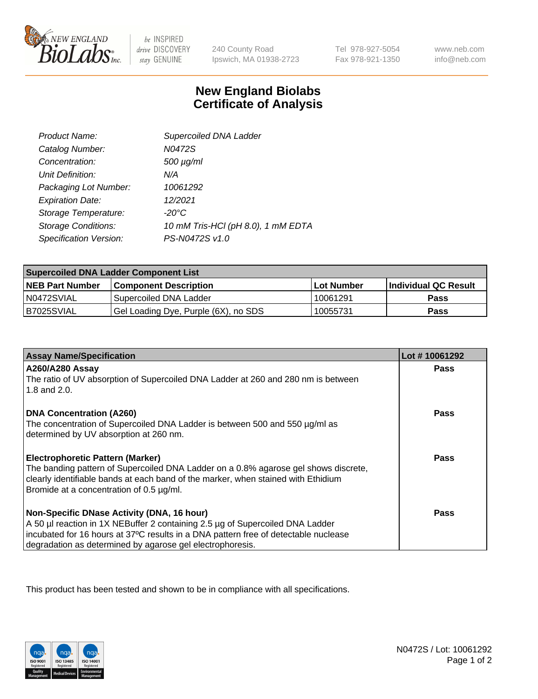

 $be$  INSPIRED drive DISCOVERY stay GENUINE

240 County Road Ipswich, MA 01938-2723

Tel 978-927-5054 Fax 978-921-1350

www.neb.com info@neb.com

## **New England Biolabs Certificate of Analysis**

| Product Name:              | Supercoiled DNA Ladder             |
|----------------------------|------------------------------------|
| Catalog Number:            | N0472S                             |
| Concentration:             | 500 µg/ml                          |
| Unit Definition:           | N/A                                |
| Packaging Lot Number:      | 10061292                           |
| <b>Expiration Date:</b>    | 12/2021                            |
| Storage Temperature:       | -20°C                              |
| <b>Storage Conditions:</b> | 10 mM Tris-HCl (pH 8.0), 1 mM EDTA |
| Specification Version:     | PS-N0472S v1.0                     |

| <b>Supercoiled DNA Ladder Component List</b> |                                      |                   |                      |  |
|----------------------------------------------|--------------------------------------|-------------------|----------------------|--|
| <b>NEB Part Number</b>                       | <b>Component Description</b>         | <b>Lot Number</b> | Individual QC Result |  |
| N0472SVIAL                                   | Supercoiled DNA Ladder               | 10061291          | <b>Pass</b>          |  |
| B7025SVIAL                                   | Gel Loading Dye, Purple (6X), no SDS | 10055731          | <b>Pass</b>          |  |

| <b>Assay Name/Specification</b>                                                                                               | Lot #10061292 |
|-------------------------------------------------------------------------------------------------------------------------------|---------------|
| A260/A280 Assay                                                                                                               | <b>Pass</b>   |
| The ratio of UV absorption of Supercoiled DNA Ladder at 260 and 280 nm is between<br>1.8 and 2.0.                             |               |
| <b>DNA Concentration (A260)</b>                                                                                               | Pass          |
| The concentration of Supercoiled DNA Ladder is between 500 and 550 µg/ml as                                                   |               |
| determined by UV absorption at 260 nm.                                                                                        |               |
| <b>Electrophoretic Pattern (Marker)</b>                                                                                       | Pass          |
| The banding pattern of Supercoiled DNA Ladder on a 0.8% agarose gel shows discrete,                                           |               |
| clearly identifiable bands at each band of the marker, when stained with Ethidium<br>Bromide at a concentration of 0.5 µg/ml. |               |
|                                                                                                                               |               |
| Non-Specific DNase Activity (DNA, 16 hour)                                                                                    | Pass          |
| A 50 µl reaction in 1X NEBuffer 2 containing 2.5 µg of Supercoiled DNA Ladder                                                 |               |
| incubated for 16 hours at 37°C results in a DNA pattern free of detectable nuclease                                           |               |
| degradation as determined by agarose gel electrophoresis.                                                                     |               |

This product has been tested and shown to be in compliance with all specifications.